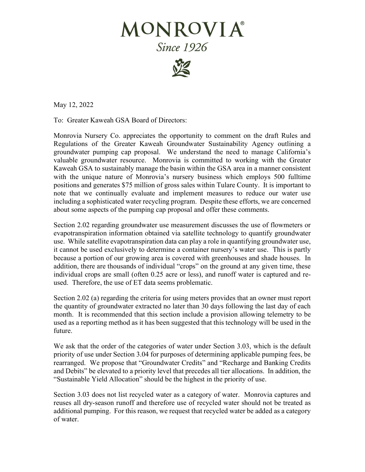## MONROVIA® **Since 1926**



May 12, 2022

To: Greater Kaweah GSA Board of Directors:

Monrovia Nursery Co. appreciates the opportunity to comment on the draft Rules and Regulations of the Greater Kaweah Groundwater Sustainability Agency outlining a groundwater pumping cap proposal. We understand the need to manage California's valuable groundwater resource. Monrovia is committed to working with the Greater Kaweah GSA to sustainably manage the basin within the GSA area in a manner consistent with the unique nature of Monrovia's nursery business which employs 500 fulltime positions and generates \$75 million of gross sales within Tulare County. It is important to note that we continually evaluate and implement measures to reduce our water use including a sophisticated water recycling program. Despite these efforts, we are concerned about some aspects of the pumping cap proposal and offer these comments.

Section 2.02 regarding groundwater use measurement discusses the use of flowmeters or evapotranspiration information obtained via satellite technology to quantify groundwater use. While satellite evapotranspiration data can play a role in quantifying groundwater use, it cannot be used exclusively to determine a container nursery's water use. This is partly because a portion of our growing area is covered with greenhouses and shade houses. In addition, there are thousands of individual "crops" on the ground at any given time, these individual crops are small (often 0.25 acre or less), and runoff water is captured and reused. Therefore, the use of ET data seems problematic.

Section 2.02 (a) regarding the criteria for using meters provides that an owner must report the quantity of groundwater extracted no later than 30 days following the last day of each month. It is recommended that this section include a provision allowing telemetry to be used as a reporting method as it has been suggested that this technology will be used in the future.

We ask that the order of the categories of water under Section 3.03, which is the default priority of use under Section 3.04 for purposes of determining applicable pumping fees, be rearranged. We propose that "Groundwater Credits" and "Recharge and Banking Credits and Debits" be elevated to a priority level that precedes all tier allocations. In addition, the "Sustainable Yield Allocation" should be the highest in the priority of use.

Section 3.03 does not list recycled water as a category of water. Monrovia captures and reuses all dry-season runoff and therefore use of recycled water should not be treated as additional pumping. For this reason, we request that recycled water be added as a category of water.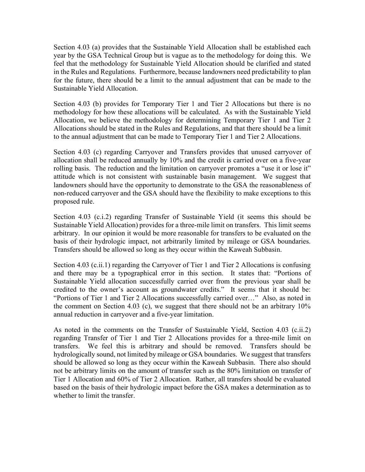Section 4.03 (a) provides that the Sustainable Yield Allocation shall be established each year by the GSA Technical Group but is vague as to the methodology for doing this. We feel that the methodology for Sustainable Yield Allocation should be clarified and stated in the Rules and Regulations. Furthermore, because landowners need predictability to plan for the future, there should be a limit to the annual adjustment that can be made to the Sustainable Yield Allocation.

Section 4.03 (b) provides for Temporary Tier 1 and Tier 2 Allocations but there is no methodology for how these allocations will be calculated. As with the Sustainable Yield Allocation, we believe the methodology for determining Temporary Tier 1 and Tier 2 Allocations should be stated in the Rules and Regulations, and that there should be a limit to the annual adjustment that can be made to Temporary Tier 1 and Tier 2 Allocations.

Section 4.03 (c) regarding Carryover and Transfers provides that unused carryover of allocation shall be reduced annually by 10% and the credit is carried over on a five-year rolling basis. The reduction and the limitation on carryover promotes a "use it or lose it" attitude which is not consistent with sustainable basin management. We suggest that landowners should have the opportunity to demonstrate to the GSA the reasonableness of non-reduced carryover and the GSA should have the flexibility to make exceptions to this proposed rule.

Section 4.03 (c.i.2) regarding Transfer of Sustainable Yield (it seems this should be Sustainable Yield Allocation) provides for a three-mile limit on transfers. This limit seems arbitrary. In our opinion it would be more reasonable for transfers to be evaluated on the basis of their hydrologic impact, not arbitrarily limited by mileage or GSA boundaries. Transfers should be allowed so long as they occur within the Kaweah Subbasin.

Section 4.03 (c.ii.1) regarding the Carryover of Tier 1 and Tier 2 Allocations is confusing and there may be a typographical error in this section. It states that: "Portions of Sustainable Yield allocation successfully carried over from the previous year shall be credited to the owner's account as groundwater credits." It seems that it should be: "Portions of Tier 1 and Tier 2 Allocations successfully carried over…" Also, as noted in the comment on Section 4.03 (c), we suggest that there should not be an arbitrary 10% annual reduction in carryover and a five-year limitation.

As noted in the comments on the Transfer of Sustainable Yield, Section 4.03 (c.ii.2) regarding Transfer of Tier 1 and Tier 2 Allocations provides for a three-mile limit on transfers. We feel this is arbitrary and should be removed. Transfers should be hydrologically sound, not limited by mileage or GSA boundaries. We suggest that transfers should be allowed so long as they occur within the Kaweah Subbasin. There also should not be arbitrary limits on the amount of transfer such as the 80% limitation on transfer of Tier 1 Allocation and 60% of Tier 2 Allocation. Rather, all transfers should be evaluated based on the basis of their hydrologic impact before the GSA makes a determination as to whether to limit the transfer.